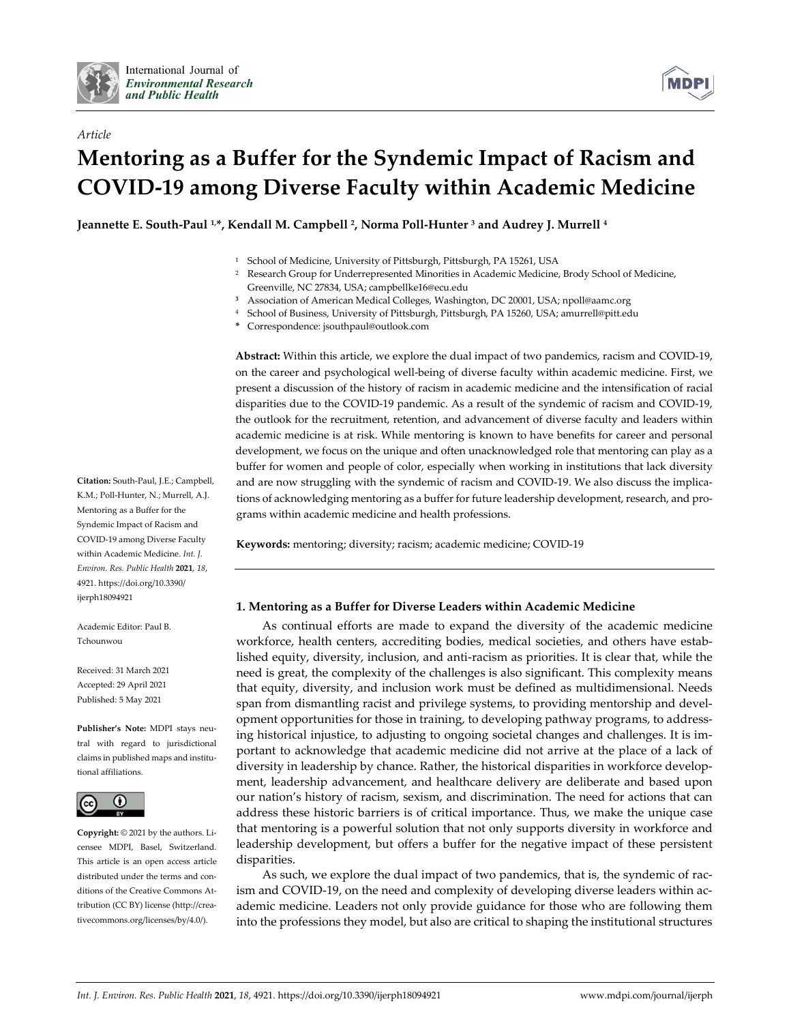

*Article*



# **Mentoring as a Buffer for the Syndemic Impact of Racism and COVID-19 among Diverse Faculty within Academic Medicine**

**Jeannette E. South-Paul 1,\*, Kendall M. Campbell 2, Norma Poll-Hunter 3 and Audrey J. Murrell 4**

- <sup>1</sup> School of Medicine, University of Pittsburgh, Pittsburgh, PA 15261, USA
- <sup>2</sup> Research Group for Underrepresented Minorities in Academic Medicine, Brody School of Medicine, Greenville, NC 27834, USA; campbellke16@ecu.edu
- **<sup>3</sup>** Association of American Medical Colleges, Washington, DC 20001, USA; npoll@aamc.org
- <sup>4</sup> School of Business, University of Pittsburgh, Pittsburgh, PA 15260, USA; amurrell@pitt.edu
- **\*** Correspondence: jsouthpaul@outlook.com

**Abstract:** Within this article, we explore the dual impact of two pandemics, racism and COVID-19, on the career and psychological well-being of diverse faculty within academic medicine. First, we present a discussion of the history of racism in academic medicine and the intensification of racial disparities due to the COVID-19 pandemic. As a result of the syndemic of racism and COVID-19, the outlook for the recruitment, retention, and advancement of diverse faculty and leaders within academic medicine is at risk. While mentoring is known to have benefits for career and personal development, we focus on the unique and often unacknowledged role that mentoring can play as a buffer for women and people of color, especially when working in institutions that lack diversity and are now struggling with the syndemic of racism and COVID-19. We also discuss the implications of acknowledging mentoring as a buffer for future leadership development, research, and programs within academic medicine and health professions.

**Keywords:** mentoring; diversity; racism; academic medicine; COVID-19

## **1. Mentoring as a Buffer for Diverse Leaders within Academic Medicine**

As continual efforts are made to expand the diversity of the academic medicine workforce, health centers, accrediting bodies, medical societies, and others have established equity, diversity, inclusion, and anti-racism as priorities. It is clear that, while the need is great, the complexity of the challenges is also significant. This complexity means that equity, diversity, and inclusion work must be defined as multidimensional. Needs span from dismantling racist and privilege systems, to providing mentorship and development opportunities for those in training, to developing pathway programs, to addressing historical injustice, to adjusting to ongoing societal changes and challenges. It is important to acknowledge that academic medicine did not arrive at the place of a lack of diversity in leadership by chance. Rather, the historical disparities in workforce development, leadership advancement, and healthcare delivery are deliberate and based upon our nation's history of racism, sexism, and discrimination. The need for actions that can address these historic barriers is of critical importance. Thus, we make the unique case that mentoring is a powerful solution that not only supports diversity in workforce and leadership development, but offers a buffer for the negative impact of these persistent disparities.

As such, we explore the dual impact of two pandemics, that is, the syndemic of racism and COVID-19, on the need and complexity of developing diverse leaders within academic medicine. Leaders not only provide guidance for those who are following them into the professions they model, but also are critical to shaping the institutional structures

**Citation:** South-Paul, J.E.; Campbell, K.M.; Poll-Hunter, N.; Murrell, A.J. Mentoring as a Buffer for the Syndemic Impact of Racism and COVID-19 among Diverse Faculty within Academic Medicine. *Int. J. Environ. Res. Public Health* **2021**, *18*, 4921. https://doi.org/10.3390/ ijerph18094921

Academic Editor: Paul B. Tchounwou

Received: 31 March 2021 Accepted: 29 April 2021 Published: 5 May 2021

**Publisher's Note:** MDPI stays neutral with regard to jurisdictional claims in published maps and institutional affiliations.



**Copyright:** © 2021 by the authors. Licensee MDPI, Basel, Switzerland. This article is an open access article distributed under the terms and conditions of the Creative Commons Attribution (CC BY) license (http://creativecommons.org/licenses/by/4.0/).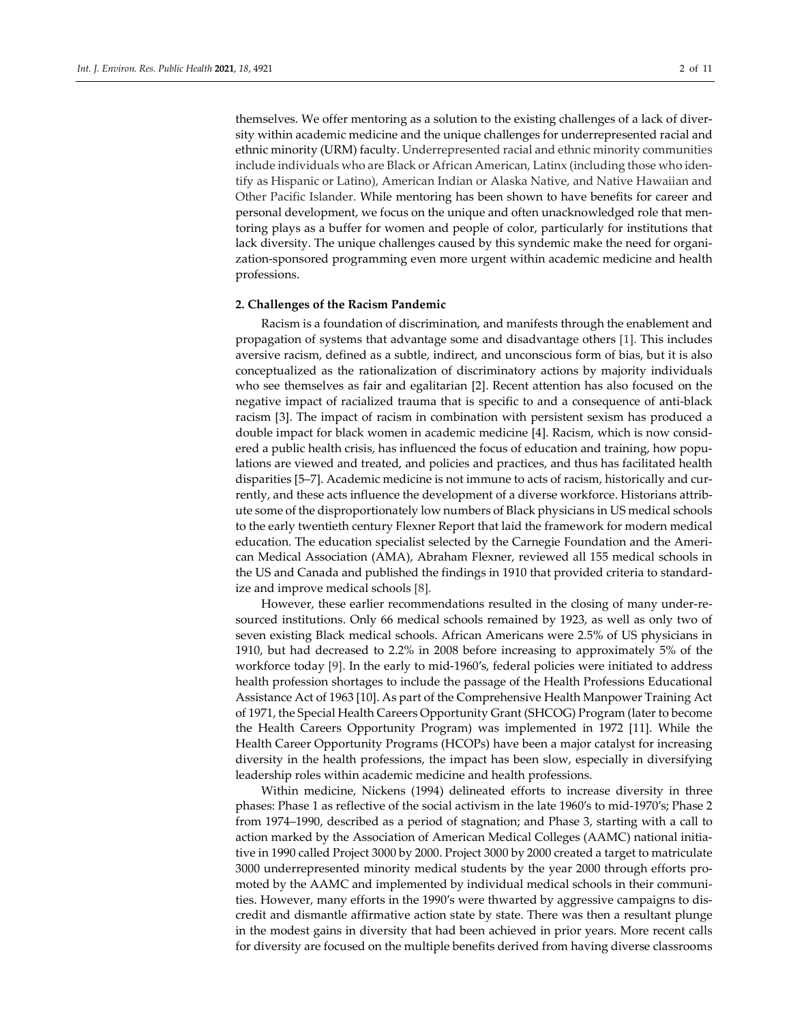themselves. We offer mentoring as a solution to the existing challenges of a lack of diversity within academic medicine and the unique challenges for underrepresented racial and ethnic minority (URM) faculty. Underrepresented racial and ethnic minority communities include individuals who are Black or African American, Latinx (including those who identify as Hispanic or Latino), American Indian or Alaska Native, and Native Hawaiian and Other Pacific Islander. While mentoring has been shown to have benefits for career and personal development, we focus on the unique and often unacknowledged role that mentoring plays as a buffer for women and people of color, particularly for institutions that lack diversity. The unique challenges caused by this syndemic make the need for organization-sponsored programming even more urgent within academic medicine and health professions.

#### **2. Challenges of the Racism Pandemic**

Racism is a foundation of discrimination, and manifests through the enablement and propagation of systems that advantage some and disadvantage others [1]. This includes aversive racism, defined as a subtle, indirect, and unconscious form of bias, but it is also conceptualized as the rationalization of discriminatory actions by majority individuals who see themselves as fair and egalitarian [2]. Recent attention has also focused on the negative impact of racialized trauma that is specific to and a consequence of anti-black racism [3]. The impact of racism in combination with persistent sexism has produced a double impact for black women in academic medicine [4]. Racism, which is now considered a public health crisis, has influenced the focus of education and training, how populations are viewed and treated, and policies and practices, and thus has facilitated health disparities [5–7]. Academic medicine is not immune to acts of racism, historically and currently, and these acts influence the development of a diverse workforce. Historians attribute some of the disproportionately low numbers of Black physicians in US medical schools to the early twentieth century Flexner Report that laid the framework for modern medical education. The education specialist selected by the Carnegie Foundation and the American Medical Association (AMA), Abraham Flexner, reviewed all 155 medical schools in the US and Canada and published the findings in 1910 that provided criteria to standardize and improve medical schools [8].

However, these earlier recommendations resulted in the closing of many under-resourced institutions. Only 66 medical schools remained by 1923, as well as only two of seven existing Black medical schools. African Americans were 2.5% of US physicians in 1910, but had decreased to 2.2% in 2008 before increasing to approximately 5% of the workforce today [9]. In the early to mid-1960′s, federal policies were initiated to address health profession shortages to include the passage of the Health Professions Educational Assistance Act of 1963 [10]. As part of the Comprehensive Health Manpower Training Act of 1971, the Special Health Careers Opportunity Grant (SHCOG) Program (later to become the Health Careers Opportunity Program) was implemented in 1972 [11]. While the Health Career Opportunity Programs (HCOPs) have been a major catalyst for increasing diversity in the health professions, the impact has been slow, especially in diversifying leadership roles within academic medicine and health professions.

Within medicine, Nickens (1994) delineated efforts to increase diversity in three phases: Phase 1 as reflective of the social activism in the late 1960′s to mid-1970′s; Phase 2 from 1974–1990, described as a period of stagnation; and Phase 3, starting with a call to action marked by the Association of American Medical Colleges (AAMC) national initiative in 1990 called Project 3000 by 2000. Project 3000 by 2000 created a target to matriculate 3000 underrepresented minority medical students by the year 2000 through efforts promoted by the AAMC and implemented by individual medical schools in their communities. However, many efforts in the 1990′s were thwarted by aggressive campaigns to discredit and dismantle affirmative action state by state. There was then a resultant plunge in the modest gains in diversity that had been achieved in prior years. More recent calls for diversity are focused on the multiple benefits derived from having diverse classrooms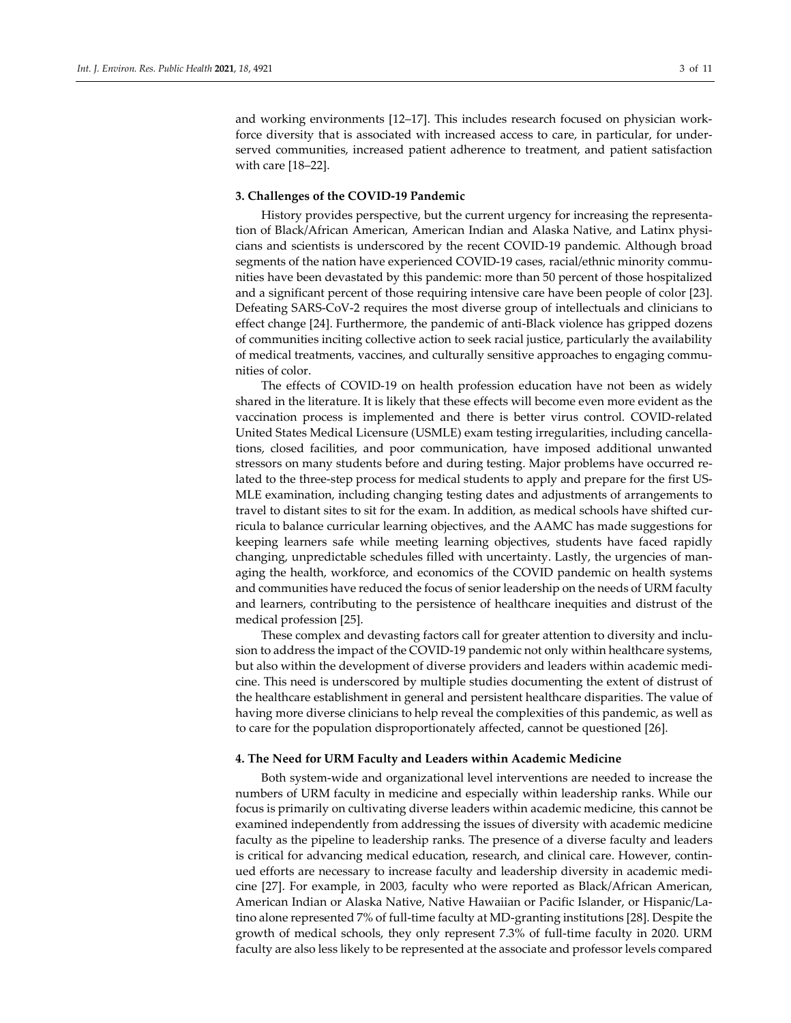and working environments [12–17]. This includes research focused on physician workforce diversity that is associated with increased access to care, in particular, for underserved communities, increased patient adherence to treatment, and patient satisfaction with care [18–22].

#### **3. Challenges of the COVID-19 Pandemic**

History provides perspective, but the current urgency for increasing the representation of Black/African American, American Indian and Alaska Native, and Latinx physicians and scientists is underscored by the recent COVID-19 pandemic. Although broad segments of the nation have experienced COVID-19 cases, racial/ethnic minority communities have been devastated by this pandemic: more than 50 percent of those hospitalized and a significant percent of those requiring intensive care have been people of color [23]. Defeating SARS-CoV-2 requires the most diverse group of intellectuals and clinicians to effect change [24]. Furthermore, the pandemic of anti-Black violence has gripped dozens of communities inciting collective action to seek racial justice, particularly the availability of medical treatments, vaccines, and culturally sensitive approaches to engaging communities of color.

The effects of COVID-19 on health profession education have not been as widely shared in the literature. It is likely that these effects will become even more evident as the vaccination process is implemented and there is better virus control. COVID-related United States Medical Licensure (USMLE) exam testing irregularities, including cancellations, closed facilities, and poor communication, have imposed additional unwanted stressors on many students before and during testing. Major problems have occurred related to the three-step process for medical students to apply and prepare for the first US-MLE examination, including changing testing dates and adjustments of arrangements to travel to distant sites to sit for the exam. In addition, as medical schools have shifted curricula to balance curricular learning objectives, and the AAMC has made suggestions for keeping learners safe while meeting learning objectives, students have faced rapidly changing, unpredictable schedules filled with uncertainty. Lastly, the urgencies of managing the health, workforce, and economics of the COVID pandemic on health systems and communities have reduced the focus of senior leadership on the needs of URM faculty and learners, contributing to the persistence of healthcare inequities and distrust of the medical profession [25].

These complex and devasting factors call for greater attention to diversity and inclusion to address the impact of the COVID-19 pandemic not only within healthcare systems, but also within the development of diverse providers and leaders within academic medicine. This need is underscored by multiple studies documenting the extent of distrust of the healthcare establishment in general and persistent healthcare disparities. The value of having more diverse clinicians to help reveal the complexities of this pandemic, as well as to care for the population disproportionately affected, cannot be questioned [26].

#### **4. The Need for URM Faculty and Leaders within Academic Medicine**

Both system-wide and organizational level interventions are needed to increase the numbers of URM faculty in medicine and especially within leadership ranks. While our focus is primarily on cultivating diverse leaders within academic medicine, this cannot be examined independently from addressing the issues of diversity with academic medicine faculty as the pipeline to leadership ranks. The presence of a diverse faculty and leaders is critical for advancing medical education, research, and clinical care. However, continued efforts are necessary to increase faculty and leadership diversity in academic medicine [27]. For example, in 2003, faculty who were reported as Black/African American, American Indian or Alaska Native, Native Hawaiian or Pacific Islander, or Hispanic/Latino alone represented 7% of full-time faculty at MD-granting institutions [28]. Despite the growth of medical schools, they only represent 7.3% of full-time faculty in 2020. URM faculty are also less likely to be represented at the associate and professor levels compared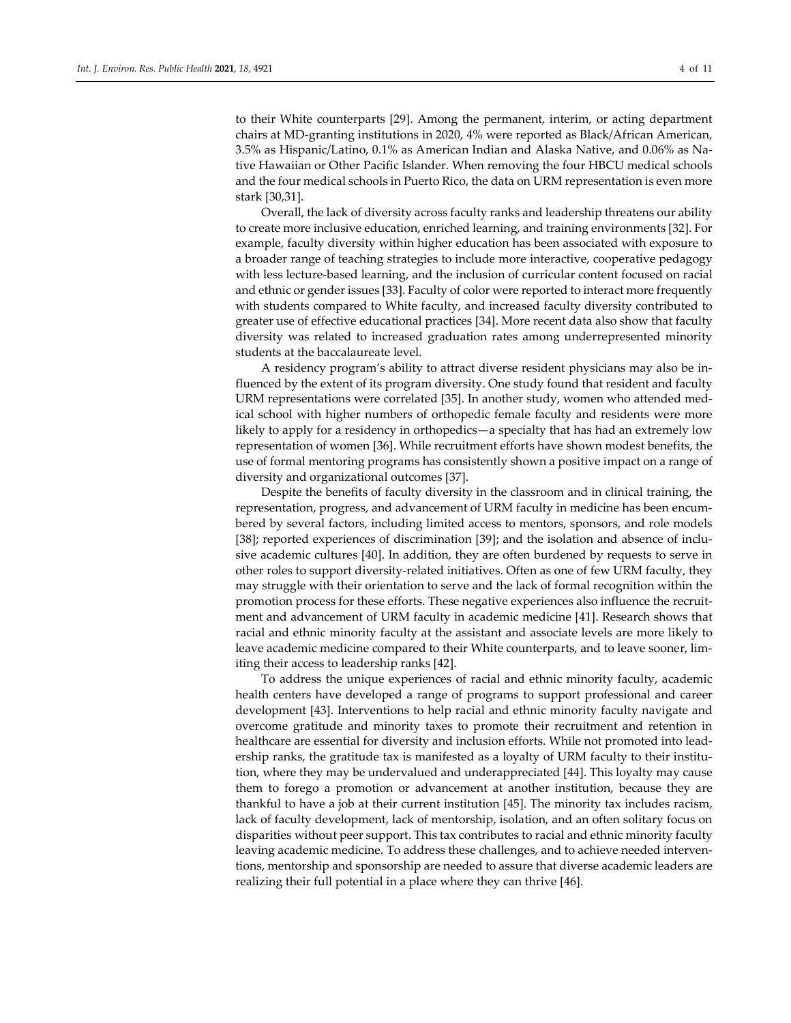to their White counterparts [29]. Among the permanent, interim, or acting department chairs at MD-granting institutions in 2020, 4% were reported as Black/African American, 3.5% as Hispanic/Latino, 0.1% as American Indian and Alaska Native, and 0.06% as Native Hawaiian or Other Pacific Islander. When removing the four HBCU medical schools and the four medical schools in Puerto Rico, the data on URM representation is even more stark [30,31].

Overall, the lack of diversity across faculty ranks and leadership threatens our ability to create more inclusive education, enriched learning, and training environments [32]. For example, faculty diversity within higher education has been associated with exposure to a broader range of teaching strategies to include more interactive, cooperative pedagogy with less lecture-based learning, and the inclusion of curricular content focused on racial and ethnic or gender issues [33]. Faculty of color were reported to interact more frequently with students compared to White faculty, and increased faculty diversity contributed to greater use of effective educational practices [34]. More recent data also show that faculty diversity was related to increased graduation rates among underrepresented minority students at the baccalaureate level.

A residency program's ability to attract diverse resident physicians may also be influenced by the extent of its program diversity. One study found that resident and faculty URM representations were correlated [35]. In another study, women who attended medical school with higher numbers of orthopedic female faculty and residents were more likely to apply for a residency in orthopedics—a specialty that has had an extremely low representation of women [36]. While recruitment efforts have shown modest benefits, the use of formal mentoring programs has consistently shown a positive impact on a range of diversity and organizational outcomes [37].

Despite the benefits of faculty diversity in the classroom and in clinical training, the representation, progress, and advancement of URM faculty in medicine has been encumbered by several factors, including limited access to mentors, sponsors, and role models [38]; reported experiences of discrimination [39]; and the isolation and absence of inclusive academic cultures [40]. In addition, they are often burdened by requests to serve in other roles to support diversity-related initiatives. Often as one of few URM faculty, they may struggle with their orientation to serve and the lack of formal recognition within the promotion process for these efforts. These negative experiences also influence the recruitment and advancement of URM faculty in academic medicine [41]. Research shows that racial and ethnic minority faculty at the assistant and associate levels are more likely to leave academic medicine compared to their White counterparts, and to leave sooner, limiting their access to leadership ranks [42].

To address the unique experiences of racial and ethnic minority faculty, academic health centers have developed a range of programs to support professional and career development [43]. Interventions to help racial and ethnic minority faculty navigate and overcome gratitude and minority taxes to promote their recruitment and retention in healthcare are essential for diversity and inclusion efforts. While not promoted into leadership ranks, the gratitude tax is manifested as a loyalty of URM faculty to their institution, where they may be undervalued and underappreciated [44]. This loyalty may cause them to forego a promotion or advancement at another institution, because they are thankful to have a job at their current institution [45]. The minority tax includes racism, lack of faculty development, lack of mentorship, isolation, and an often solitary focus on disparities without peer support. This tax contributes to racial and ethnic minority faculty leaving academic medicine. To address these challenges, and to achieve needed interventions, mentorship and sponsorship are needed to assure that diverse academic leaders are realizing their full potential in a place where they can thrive [46].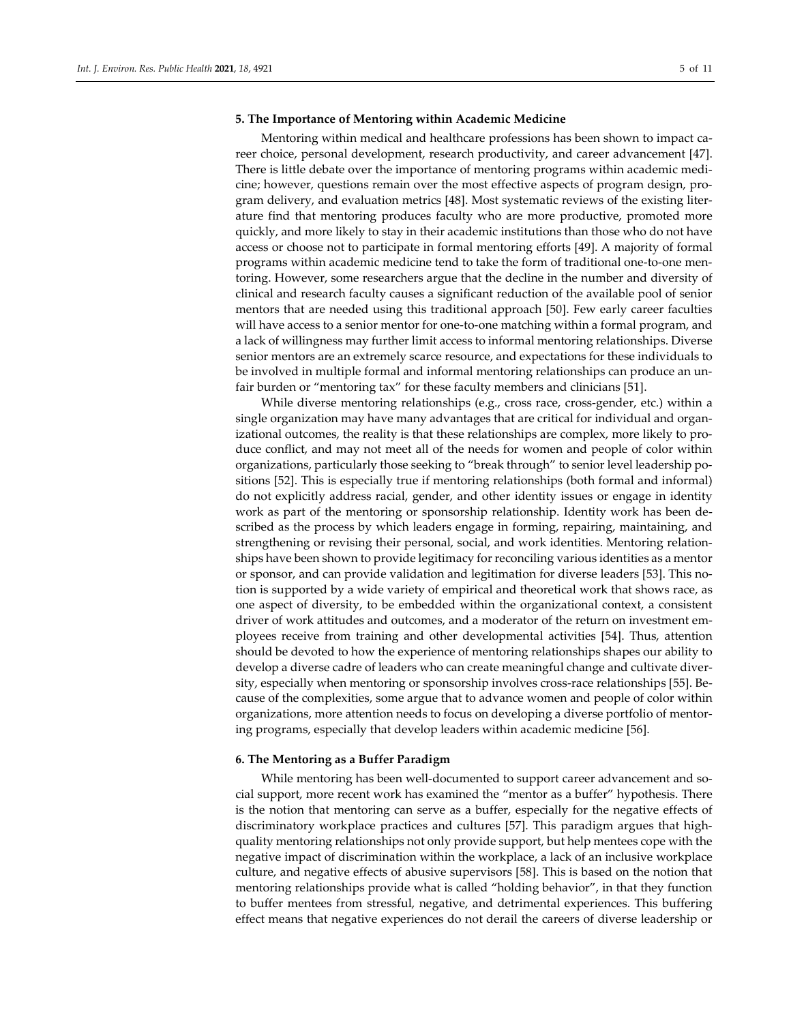#### **5. The Importance of Mentoring within Academic Medicine**

Mentoring within medical and healthcare professions has been shown to impact career choice, personal development, research productivity, and career advancement [47]. There is little debate over the importance of mentoring programs within academic medicine; however, questions remain over the most effective aspects of program design, program delivery, and evaluation metrics [48]. Most systematic reviews of the existing literature find that mentoring produces faculty who are more productive, promoted more quickly, and more likely to stay in their academic institutions than those who do not have access or choose not to participate in formal mentoring efforts [49]. A majority of formal programs within academic medicine tend to take the form of traditional one-to-one mentoring. However, some researchers argue that the decline in the number and diversity of clinical and research faculty causes a significant reduction of the available pool of senior mentors that are needed using this traditional approach [50]. Few early career faculties will have access to a senior mentor for one-to-one matching within a formal program, and a lack of willingness may further limit access to informal mentoring relationships. Diverse senior mentors are an extremely scarce resource, and expectations for these individuals to be involved in multiple formal and informal mentoring relationships can produce an unfair burden or "mentoring tax" for these faculty members and clinicians [51].

While diverse mentoring relationships (e.g., cross race, cross-gender, etc.) within a single organization may have many advantages that are critical for individual and organizational outcomes, the reality is that these relationships are complex, more likely to produce conflict, and may not meet all of the needs for women and people of color within organizations, particularly those seeking to "break through" to senior level leadership positions [52]. This is especially true if mentoring relationships (both formal and informal) do not explicitly address racial, gender, and other identity issues or engage in identity work as part of the mentoring or sponsorship relationship. Identity work has been described as the process by which leaders engage in forming, repairing, maintaining, and strengthening or revising their personal, social, and work identities. Mentoring relationships have been shown to provide legitimacy for reconciling various identities as a mentor or sponsor, and can provide validation and legitimation for diverse leaders [53]. This notion is supported by a wide variety of empirical and theoretical work that shows race, as one aspect of diversity, to be embedded within the organizational context, a consistent driver of work attitudes and outcomes, and a moderator of the return on investment employees receive from training and other developmental activities [54]. Thus, attention should be devoted to how the experience of mentoring relationships shapes our ability to develop a diverse cadre of leaders who can create meaningful change and cultivate diversity, especially when mentoring or sponsorship involves cross-race relationships [55]. Because of the complexities, some argue that to advance women and people of color within organizations, more attention needs to focus on developing a diverse portfolio of mentoring programs, especially that develop leaders within academic medicine [56].

#### **6. The Mentoring as a Buffer Paradigm**

While mentoring has been well-documented to support career advancement and social support, more recent work has examined the "mentor as a buffer" hypothesis. There is the notion that mentoring can serve as a buffer, especially for the negative effects of discriminatory workplace practices and cultures [57]. This paradigm argues that highquality mentoring relationships not only provide support, but help mentees cope with the negative impact of discrimination within the workplace, a lack of an inclusive workplace culture, and negative effects of abusive supervisors [58]. This is based on the notion that mentoring relationships provide what is called "holding behavior", in that they function to buffer mentees from stressful, negative, and detrimental experiences. This buffering effect means that negative experiences do not derail the careers of diverse leadership or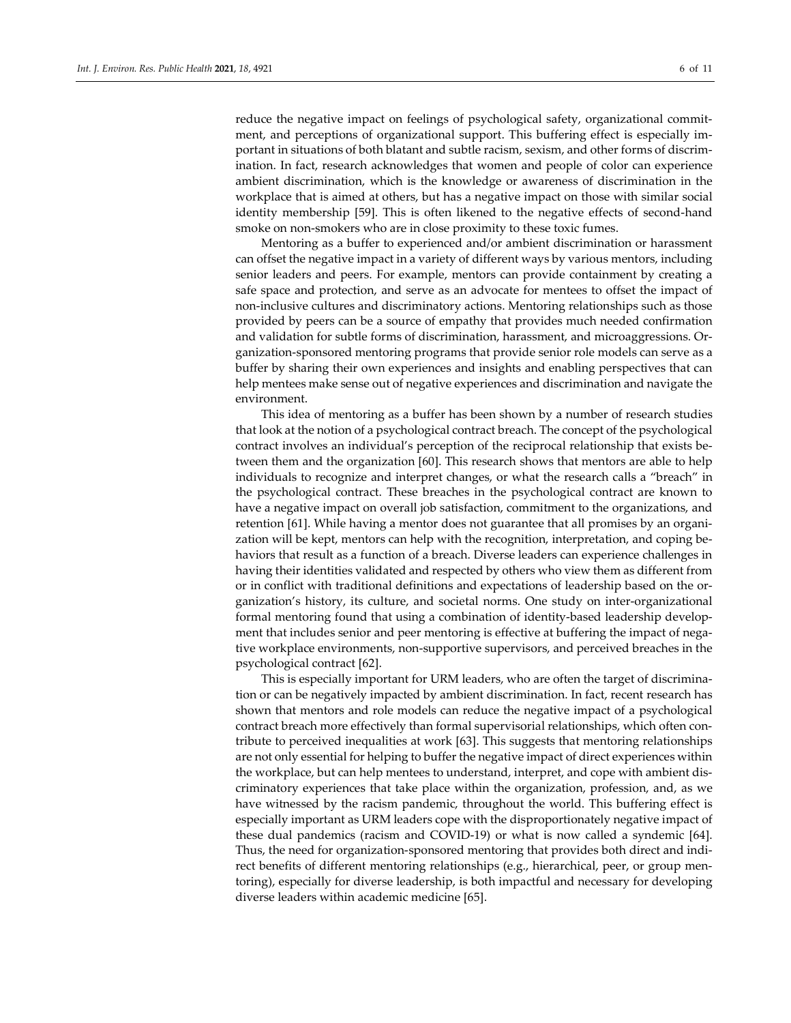reduce the negative impact on feelings of psychological safety, organizational commitment, and perceptions of organizational support. This buffering effect is especially important in situations of both blatant and subtle racism, sexism, and other forms of discrimination. In fact, research acknowledges that women and people of color can experience ambient discrimination, which is the knowledge or awareness of discrimination in the workplace that is aimed at others, but has a negative impact on those with similar social identity membership [59]. This is often likened to the negative effects of second-hand smoke on non-smokers who are in close proximity to these toxic fumes.

Mentoring as a buffer to experienced and/or ambient discrimination or harassment can offset the negative impact in a variety of different ways by various mentors, including senior leaders and peers. For example, mentors can provide containment by creating a safe space and protection, and serve as an advocate for mentees to offset the impact of non-inclusive cultures and discriminatory actions. Mentoring relationships such as those provided by peers can be a source of empathy that provides much needed confirmation and validation for subtle forms of discrimination, harassment, and microaggressions. Organization-sponsored mentoring programs that provide senior role models can serve as a buffer by sharing their own experiences and insights and enabling perspectives that can help mentees make sense out of negative experiences and discrimination and navigate the environment.

This idea of mentoring as a buffer has been shown by a number of research studies that look at the notion of a psychological contract breach. The concept of the psychological contract involves an individual's perception of the reciprocal relationship that exists between them and the organization [60]. This research shows that mentors are able to help individuals to recognize and interpret changes, or what the research calls a "breach" in the psychological contract. These breaches in the psychological contract are known to have a negative impact on overall job satisfaction, commitment to the organizations, and retention [61]. While having a mentor does not guarantee that all promises by an organization will be kept, mentors can help with the recognition, interpretation, and coping behaviors that result as a function of a breach. Diverse leaders can experience challenges in having their identities validated and respected by others who view them as different from or in conflict with traditional definitions and expectations of leadership based on the organization's history, its culture, and societal norms. One study on inter-organizational formal mentoring found that using a combination of identity-based leadership development that includes senior and peer mentoring is effective at buffering the impact of negative workplace environments, non-supportive supervisors, and perceived breaches in the psychological contract [62].

This is especially important for URM leaders, who are often the target of discrimination or can be negatively impacted by ambient discrimination. In fact, recent research has shown that mentors and role models can reduce the negative impact of a psychological contract breach more effectively than formal supervisorial relationships, which often contribute to perceived inequalities at work [63]. This suggests that mentoring relationships are not only essential for helping to buffer the negative impact of direct experiences within the workplace, but can help mentees to understand, interpret, and cope with ambient discriminatory experiences that take place within the organization, profession, and, as we have witnessed by the racism pandemic, throughout the world. This buffering effect is especially important as URM leaders cope with the disproportionately negative impact of these dual pandemics (racism and COVID-19) or what is now called a syndemic [64]. Thus, the need for organization-sponsored mentoring that provides both direct and indirect benefits of different mentoring relationships (e.g., hierarchical, peer, or group mentoring), especially for diverse leadership, is both impactful and necessary for developing diverse leaders within academic medicine [65].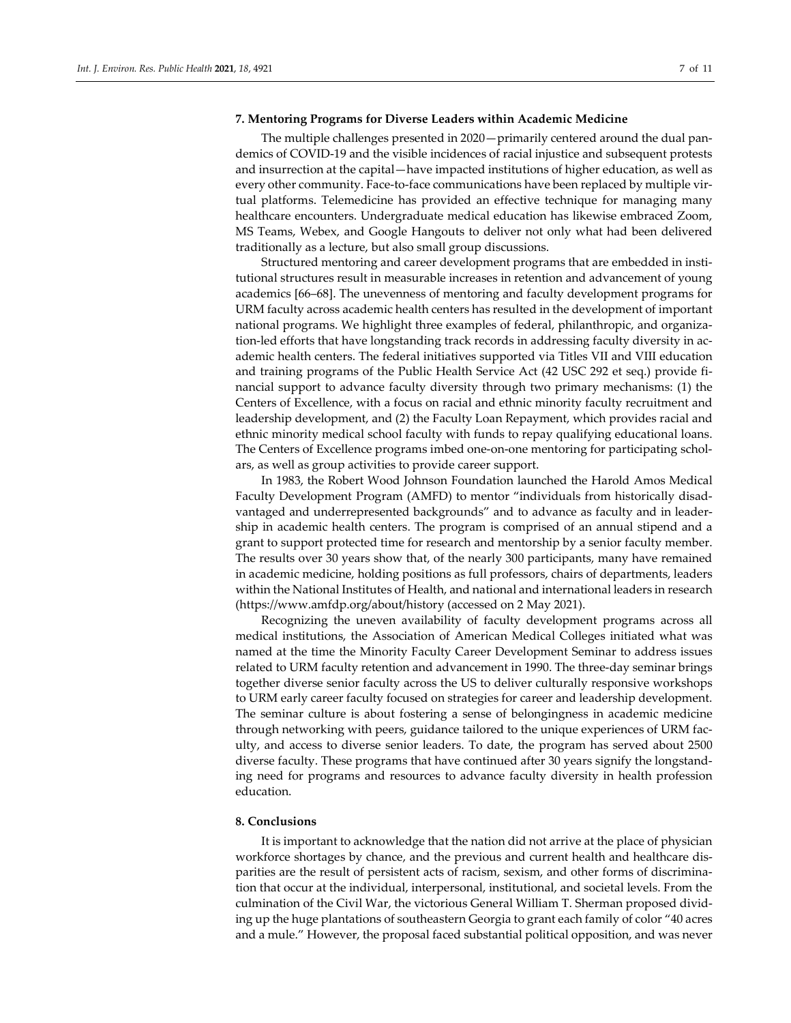### **7. Mentoring Programs for Diverse Leaders within Academic Medicine**

The multiple challenges presented in 2020—primarily centered around the dual pandemics of COVID-19 and the visible incidences of racial injustice and subsequent protests and insurrection at the capital—have impacted institutions of higher education, as well as every other community. Face-to-face communications have been replaced by multiple virtual platforms. Telemedicine has provided an effective technique for managing many healthcare encounters. Undergraduate medical education has likewise embraced Zoom, MS Teams, Webex, and Google Hangouts to deliver not only what had been delivered traditionally as a lecture, but also small group discussions.

Structured mentoring and career development programs that are embedded in institutional structures result in measurable increases in retention and advancement of young academics [66–68]. The unevenness of mentoring and faculty development programs for URM faculty across academic health centers has resulted in the development of important national programs. We highlight three examples of federal, philanthropic, and organization-led efforts that have longstanding track records in addressing faculty diversity in academic health centers. The federal initiatives supported via Titles VII and VIII education and training programs of the Public Health Service Act (42 USC 292 et seq.) provide financial support to advance faculty diversity through two primary mechanisms: (1) the Centers of Excellence, with a focus on racial and ethnic minority faculty recruitment and leadership development, and (2) the Faculty Loan Repayment, which provides racial and ethnic minority medical school faculty with funds to repay qualifying educational loans. The Centers of Excellence programs imbed one-on-one mentoring for participating scholars, as well as group activities to provide career support.

In 1983, the Robert Wood Johnson Foundation launched the Harold Amos Medical Faculty Development Program (AMFD) to mentor "individuals from historically disadvantaged and underrepresented backgrounds" and to advance as faculty and in leadership in academic health centers. The program is comprised of an annual stipend and a grant to support protected time for research and mentorship by a senior faculty member. The results over 30 years show that, of the nearly 300 participants, many have remained in academic medicine, holding positions as full professors, chairs of departments, leaders within the National Institutes of Health, and national and international leaders in research (https://www.amfdp.org/about/history (accessed on 2 May 2021).

Recognizing the uneven availability of faculty development programs across all medical institutions, the Association of American Medical Colleges initiated what was named at the time the Minority Faculty Career Development Seminar to address issues related to URM faculty retention and advancement in 1990. The three-day seminar brings together diverse senior faculty across the US to deliver culturally responsive workshops to URM early career faculty focused on strategies for career and leadership development. The seminar culture is about fostering a sense of belongingness in academic medicine through networking with peers, guidance tailored to the unique experiences of URM faculty, and access to diverse senior leaders. To date, the program has served about 2500 diverse faculty. These programs that have continued after 30 years signify the longstanding need for programs and resources to advance faculty diversity in health profession education.

#### **8. Conclusions**

It is important to acknowledge that the nation did not arrive at the place of physician workforce shortages by chance, and the previous and current health and healthcare disparities are the result of persistent acts of racism, sexism, and other forms of discrimination that occur at the individual, interpersonal, institutional, and societal levels. From the culmination of the Civil War, the victorious General William T. Sherman proposed dividing up the huge plantations of southeastern Georgia to grant each family of color "40 acres and a mule." However, the proposal faced substantial political opposition, and was never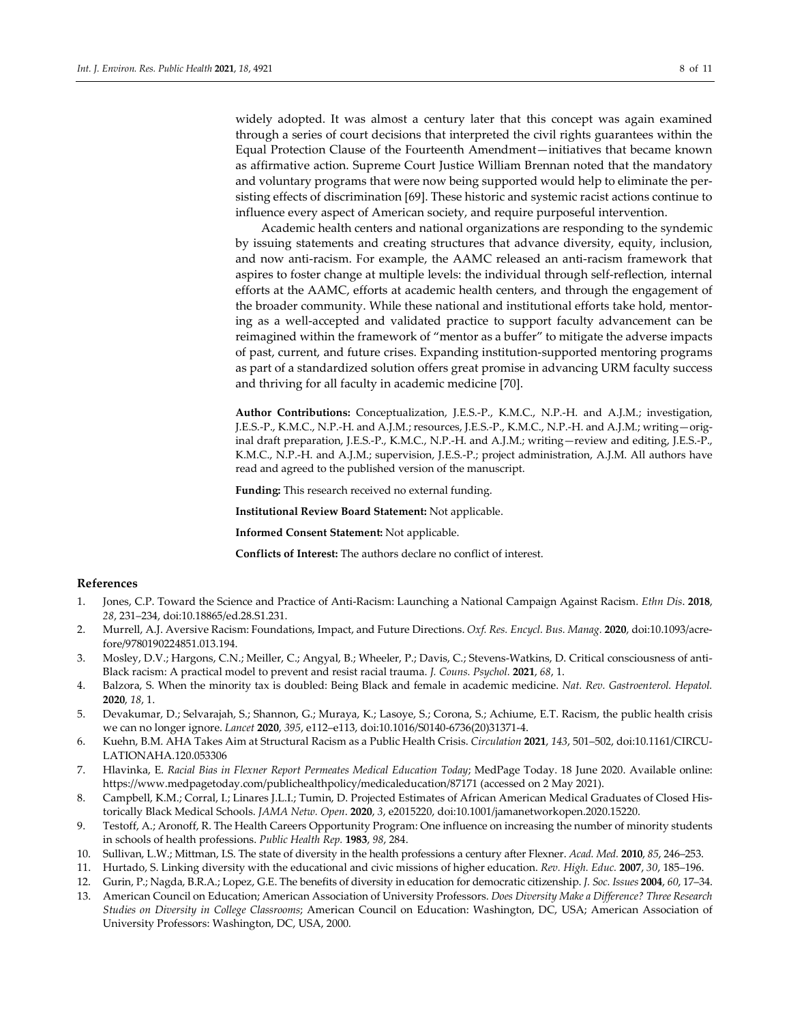widely adopted. It was almost a century later that this concept was again examined through a series of court decisions that interpreted the civil rights guarantees within the Equal Protection Clause of the Fourteenth Amendment—initiatives that became known as affirmative action. Supreme Court Justice William Brennan noted that the mandatory and voluntary programs that were now being supported would help to eliminate the persisting effects of discrimination [69]. These historic and systemic racist actions continue to influence every aspect of American society, and require purposeful intervention.

Academic health centers and national organizations are responding to the syndemic by issuing statements and creating structures that advance diversity, equity, inclusion, and now anti-racism. For example, the AAMC released an anti-racism framework that aspires to foster change at multiple levels: the individual through self-reflection, internal efforts at the AAMC, efforts at academic health centers, and through the engagement of the broader community. While these national and institutional efforts take hold, mentoring as a well-accepted and validated practice to support faculty advancement can be reimagined within the framework of "mentor as a buffer" to mitigate the adverse impacts of past, current, and future crises. Expanding institution-supported mentoring programs as part of a standardized solution offers great promise in advancing URM faculty success and thriving for all faculty in academic medicine [70].

**Author Contributions:** Conceptualization, J.E.S.-P., K.M.C., N.P.-H. and A.J.M.; investigation, J.E.S.-P., K.M.C., N.P.-H. and A.J.M.; resources, J.E.S.-P., K.M.C., N.P.-H. and A.J.M.; writing—original draft preparation, J.E.S.-P., K.M.C., N.P.-H. and A.J.M.; writing—review and editing, J.E.S.-P., K.M.C., N.P.-H. and A.J.M.; supervision, J.E.S.-P.; project administration, A.J.M. All authors have read and agreed to the published version of the manuscript.

**Funding:** This research received no external funding.

**Institutional Review Board Statement:** Not applicable.

**Informed Consent Statement:** Not applicable.

**Conflicts of Interest:** The authors declare no conflict of interest.

## **References**

- 1. Jones, C.P. Toward the Science and Practice of Anti-Racism: Launching a National Campaign Against Racism. *Ethn Dis*. **2018**, *28*, 231–234, doi:10.18865/ed.28.S1.231.
- 2. Murrell, A.J. Aversive Racism: Foundations, Impact, and Future Directions. *Oxf. Res. Encycl. Bus. Manag.* **2020**, doi:10.1093/acrefore/9780190224851.013.194.
- 3. Mosley, D.V.; Hargons, C.N.; Meiller, C.; Angyal, B.; Wheeler, P.; Davis, C.; Stevens-Watkins, D. Critical consciousness of anti-Black racism: A practical model to prevent and resist racial trauma. *J. Couns. Psychol.* **2021**, *68*, 1.
- 4. Balzora, S. When the minority tax is doubled: Being Black and female in academic medicine. *Nat. Rev. Gastroenterol. Hepatol.*  **2020**, *18*, 1.
- 5. Devakumar, D.; Selvarajah, S.; Shannon, G.; Muraya, K.; Lasoye, S.; Corona, S.; Achiume, E.T. Racism, the public health crisis we can no longer ignore. *Lancet* **2020**, *395*, e112–e113, doi:10.1016/S0140-6736(20)31371-4.
- 6. Kuehn, B.M. AHA Takes Aim at Structural Racism as a Public Health Crisis. *Circulation* **2021**, *143*, 501–502, doi:10.1161/CIRCU-LATIONAHA.120.053306
- 7. Hlavinka, E. *Racial Bias in Flexner Report Permeates Medical Education Today*; MedPage Today. 18 June 2020. Available online: https://www.medpagetoday.com/publichealthpolicy/medicaleducation/87171 (accessed on 2 May 2021).
- 8. Campbell, K.M.; Corral, I.; Linares J.L.I.; Tumin, D. Projected Estimates of African American Medical Graduates of Closed Historically Black Medical Schools. *JAMA Netw. Open*. **2020**, *3*, e2015220, doi:10.1001/jamanetworkopen.2020.15220.
- 9. Testoff, A.; Aronoff, R. The Health Careers Opportunity Program: One influence on increasing the number of minority students in schools of health professions. *Public Health Rep.* **1983**, *98*, 284.
- 10. Sullivan, L.W.; Mittman, I.S. The state of diversity in the health professions a century after Flexner. *Acad. Med.* **2010**, *85*, 246–253.
- 11. Hurtado, S. Linking diversity with the educational and civic missions of higher education. *Rev. High. Educ.* **2007**, *30*, 185–196.
- 12. Gurin, P.; Nagda, B.R.A.; Lopez, G.E. The benefits of diversity in education for democratic citizenship. *J. Soc. Issues* **2004**, *60*, 17–34.
- 13. American Council on Education; American Association of University Professors. *Does Diversity Make a Difference? Three Research Studies on Diversity in College Classrooms*; American Council on Education: Washington, DC, USA; American Association of University Professors: Washington, DC, USA, 2000.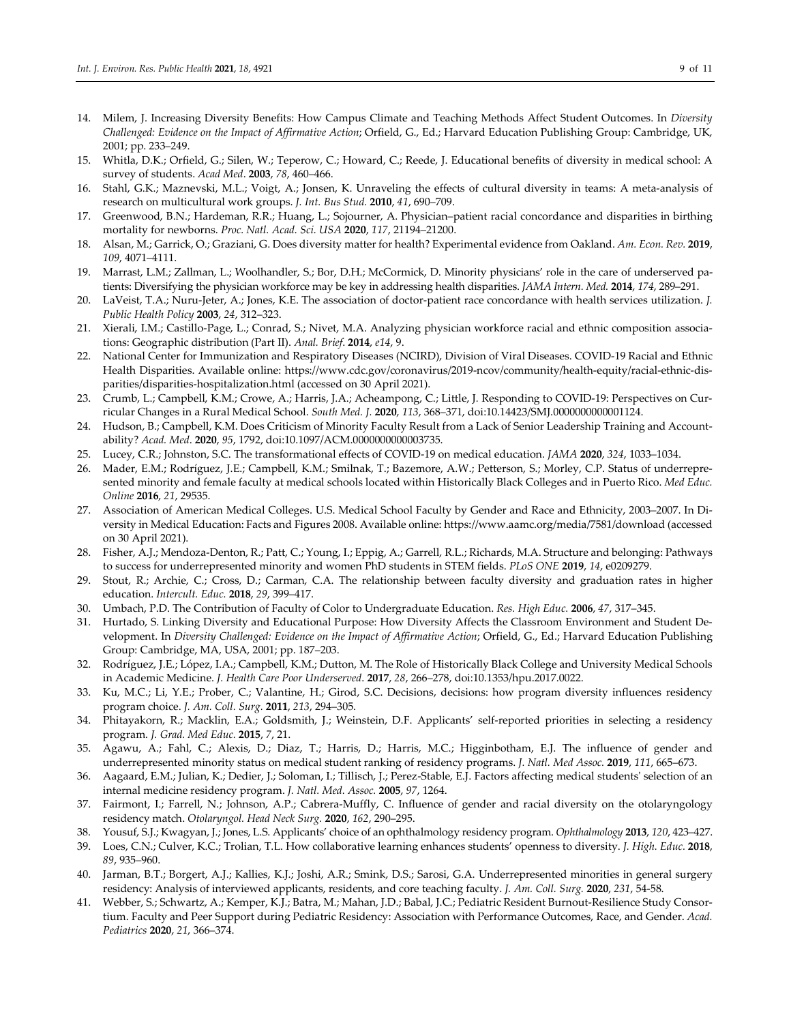- 14. Milem, J. Increasing Diversity Benefits: How Campus Climate and Teaching Methods Affect Student Outcomes. In *Diversity Challenged: Evidence on the Impact of Affirmative Action*; Orfield, G., Ed.; Harvard Education Publishing Group: Cambridge, UK, 2001; pp. 233–249.
- 15. Whitla, D.K.; Orfield, G.; Silen, W.; Teperow, C.; Howard, C.; Reede, J. Educational benefits of diversity in medical school: A survey of students. *Acad Med*. **2003**, *78*, 460–466.
- 16. Stahl, G.K.; Maznevski, M.L.; Voigt, A.; Jonsen, K. Unraveling the effects of cultural diversity in teams: A meta-analysis of research on multicultural work groups. *J. Int. Bus Stud.* **2010**, *41*, 690–709.
- 17. Greenwood, B.N.; Hardeman, R.R.; Huang, L.; Sojourner, A. Physician–patient racial concordance and disparities in birthing mortality for newborns. *Proc. Natl. Acad. Sci. USA* **2020**, *117*, 21194–21200.
- 18. Alsan, M.; Garrick, O.; Graziani, G. Does diversity matter for health? Experimental evidence from Oakland. *Am. Econ. Rev.* **2019**, *109*, 4071–4111.
- 19. Marrast, L.M.; Zallman, L.; Woolhandler, S.; Bor, D.H.; McCormick, D. Minority physicians' role in the care of underserved patients: Diversifying the physician workforce may be key in addressing health disparities. *JAMA Intern. Med.* **2014**, *174*, 289–291.
- 20. LaVeist, T.A.; Nuru-Jeter, A.; Jones, K.E. The association of doctor-patient race concordance with health services utilization. *J. Public Health Policy* **2003**, *24*, 312–323.
- 21. Xierali, I.M.; Castillo-Page, L.; Conrad, S.; Nivet, M.A. Analyzing physician workforce racial and ethnic composition associations: Geographic distribution (Part II). *Anal. Brief*. **2014**, *e14*, 9.
- 22. National Center for Immunization and Respiratory Diseases (NCIRD), Division of Viral Diseases. COVID-19 Racial and Ethnic Health Disparities. Available online: https://www.cdc.gov/coronavirus/2019-ncov/community/health-equity/racial-ethnic-disparities/disparities-hospitalization.html (accessed on 30 April 2021).
- 23. Crumb, L.; Campbell, K.M.; Crowe, A.; Harris, J.A.; Acheampong, C.; Little, J*.* Responding to COVID-19: Perspectives on Curricular Changes in a Rural Medical School. *South Med. J.* **2020**, *113*, 368–371, doi:10.14423/SMJ.0000000000001124.
- 24. Hudson, B.; Campbell, K.M. Does Criticism of Minority Faculty Result from a Lack of Senior Leadership Training and Accountability? *Acad. Med*. **2020**, *95*, 1792, doi:10.1097/ACM.0000000000003735.
- 25. Lucey, C.R.; Johnston, S.C. The transformational effects of COVID-19 on medical education. *JAMA* **2020**, *324*, 1033–1034.
- 26. Mader, E.M.; Rodríguez, J.E.; Campbell, K.M.; Smilnak, T.; Bazemore, A.W.; Petterson, S.; Morley, C.P. Status of underrepresented minority and female faculty at medical schools located within Historically Black Colleges and in Puerto Rico. *Med Educ. Online* **2016**, *21*, 29535.
- 27. Association of American Medical Colleges. U.S. Medical School Faculty by Gender and Race and Ethnicity, 2003–2007. In Diversity in Medical Education: Facts and Figures 2008. Available online: https://www.aamc.org/media/7581/download (accessed on 30 April 2021).
- 28. Fisher, A.J.; Mendoza-Denton, R.; Patt, C.; Young, I.; Eppig, A.; Garrell, R.L.; Richards, M.A. Structure and belonging: Pathways to success for underrepresented minority and women PhD students in STEM fields. *PLoS ONE* **2019**, *14*, e0209279.
- 29. Stout, R.; Archie, C.; Cross, D.; Carman, C.A. The relationship between faculty diversity and graduation rates in higher education. *Intercult. Educ.* **2018**, *29*, 399–417.
- 30. Umbach, P.D. The Contribution of Faculty of Color to Undergraduate Education. *Res. High Educ.* **2006**, *47*, 317–345.
- 31. Hurtado, S. Linking Diversity and Educational Purpose: How Diversity Affects the Classroom Environment and Student Development. In *Diversity Challenged: Evidence on the Impact of Affirmative Action*; Orfield, G., Ed.; Harvard Education Publishing Group: Cambridge, MA, USA, 2001; pp. 187–203.
- 32. Rodríguez, J.E.; López, I.A.; Campbell, K.M.; Dutton, M. The Role of Historically Black College and University Medical Schools in Academic Medicine. *J. Health Care Poor Underserved*. **2017**, *28*, 266–278, doi:10.1353/hpu.2017.0022.
- 33. Ku, M.C.; Li, Y.E.; Prober, C.; Valantine, H.; Girod, S.C. Decisions, decisions: how program diversity influences residency program choice. *J. Am. Coll. Surg.* **2011**, *213*, 294–305.
- 34. Phitayakorn, R.; Macklin, E.A.; Goldsmith, J.; Weinstein, D.F. Applicants' self-reported priorities in selecting a residency program. *J. Grad. Med Educ.* **2015**, *7*, 21.
- 35. Agawu, A.; Fahl, C.; Alexis, D.; Diaz, T.; Harris, D.; Harris, M.C.; Higginbotham, E.J. The influence of gender and underrepresented minority status on medical student ranking of residency programs. *J. Natl. Med Assoc.* **2019**, *111*, 665–673.
- 36. Aagaard, E.M.; Julian, K.; Dedier, J.; Soloman, I.; Tillisch, J.; Perez-Stable, E.J. Factors affecting medical students' selection of an internal medicine residency program. *J. Natl. Med. Assoc.* **2005**, *97*, 1264.
- 37. Fairmont, I.; Farrell, N.; Johnson, A.P.; Cabrera-Muffly, C. Influence of gender and racial diversity on the otolaryngology residency match. *Otolaryngol. Head Neck Surg.* **2020**, *162*, 290–295.
- 38. Yousuf, S.J.; Kwagyan, J.; Jones, L.S. Applicants' choice of an ophthalmology residency program. *Ophthalmology* **2013**, *120*, 423–427.
- 39. Loes, C.N.; Culver, K.C.; Trolian, T.L. How collaborative learning enhances students' openness to diversity. *J. High. Educ.* **2018**, *89*, 935–960.
- 40. Jarman, B.T.; Borgert, A.J.; Kallies, K.J.; Joshi, A.R.; Smink, D.S.; Sarosi, G.A. Underrepresented minorities in general surgery residency: Analysis of interviewed applicants, residents, and core teaching faculty. *J. Am. Coll. Surg.* **2020**, *231*, 54-58.
- 41. Webber, S.; Schwartz, A.; Kemper, K.J.; Batra, M.; Mahan, J.D.; Babal, J.C.; Pediatric Resident Burnout-Resilience Study Consortium. Faculty and Peer Support during Pediatric Residency: Association with Performance Outcomes, Race, and Gender. *Acad. Pediatrics* **2020**, *21*, 366–374.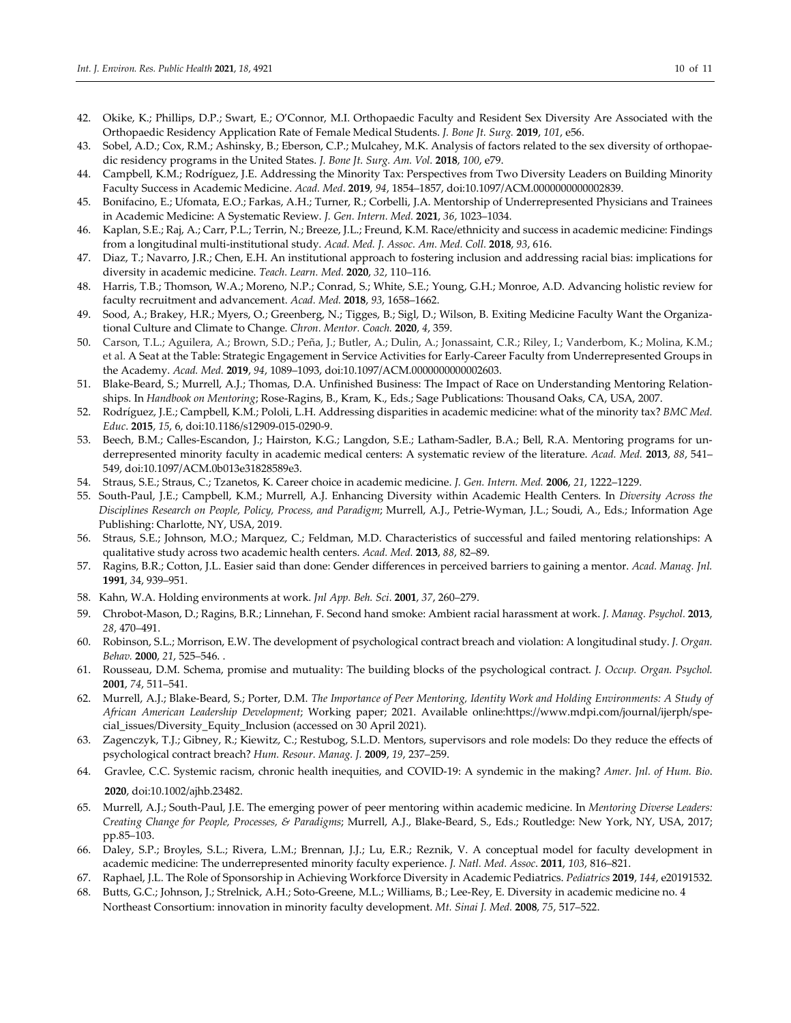- 42. Okike, K.; Phillips, D.P.; Swart, E.; O'Connor, M.I. Orthopaedic Faculty and Resident Sex Diversity Are Associated with the Orthopaedic Residency Application Rate of Female Medical Students. *J. Bone Jt. Surg.* **2019**, *101*, e56.
- 43. Sobel, A.D.; Cox, R.M.; Ashinsky, B.; Eberson, C.P.; Mulcahey, M.K. Analysis of factors related to the sex diversity of orthopaedic residency programs in the United States. *J. Bone Jt. Surg. Am. Vol.* **2018**, *100*, e79.
- 44. Campbell, K.M.; Rodríguez, J.E. Addressing the Minority Tax: Perspectives from Two Diversity Leaders on Building Minority Faculty Success in Academic Medicine. *Acad. Med*. **2019**, *94*, 1854–1857, doi:10.1097/ACM.0000000000002839.
- 45. Bonifacino, E.; Ufomata, E.O.; Farkas, A.H.; Turner, R.; Corbelli, J.A. Mentorship of Underrepresented Physicians and Trainees in Academic Medicine: A Systematic Review. *J. Gen. Intern. Med.* **2021**, *36*, 1023–1034.
- 46. Kaplan, S.E.; Raj, A.; Carr, P.L.; Terrin, N.; Breeze, J.L.; Freund, K.M. Race/ethnicity and success in academic medicine: Findings from a longitudinal multi-institutional study. *Acad. Med. J. Assoc. Am. Med. Coll.* **2018**, *93*, 616.
- 47. Diaz, T.; Navarro, J.R.; Chen, E.H. An institutional approach to fostering inclusion and addressing racial bias: implications for diversity in academic medicine. *Teach. Learn. Med.* **2020**, *32*, 110–116.
- 48. Harris, T.B.; Thomson, W.A.; Moreno, N.P.; Conrad, S.; White, S.E.; Young, G.H.; Monroe, A.D. Advancing holistic review for faculty recruitment and advancement. *Acad. Med.* **2018**, *93*, 1658–1662.
- 49. Sood, A.; Brakey, H.R.; Myers, O.; Greenberg, N.; Tigges, B.; Sigl, D.; Wilson, B. Exiting Medicine Faculty Want the Organizational Culture and Climate to Change. *Chron. Mentor. Coach.* **2020**, *4*, 359.
- 50. Carson, T.L.; Aguilera, A.; Brown, S.D.; Peña, J.; Butler, A.; Dulin, A.; Jonassaint, C.R.; Riley, I.; Vanderbom, K.; Molina, K.M.; et al. A Seat at the Table: Strategic Engagement in Service Activities for Early-Career Faculty from Underrepresented Groups in the Academy. *Acad. Med.* **2019**, *94*, 1089–1093, doi:10.1097/ACM.0000000000002603.
- 51. Blake-Beard, S.; Murrell, A.J.; Thomas, D.A. Unfinished Business: The Impact of Race on Understanding Mentoring Relationships. In *Handbook on Mentoring*; Rose-Ragins, B., Kram, K., Eds.; Sage Publications: Thousand Oaks, CA, USA, 2007.
- 52. Rodríguez, J.E.; Campbell, K.M.; Pololi, L.H. Addressing disparities in academic medicine: what of the minority tax? *BMC Med. Educ*. **2015**, *15*, 6, doi:10.1186/s12909-015-0290-9.
- 53. Beech, B.M.; Calles-Escandon, J.; Hairston, K.G.; Langdon, S.E.; Latham-Sadler, B.A.; Bell, R.A. Mentoring programs for underrepresented minority faculty in academic medical centers: A systematic review of the literature. *Acad. Med.* **2013**, *88*, 541– 549, doi:10.1097/ACM.0b013e31828589e3.
- 54. Straus, S.E.; Straus, C.; Tzanetos, K. Career choice in academic medicine. *J. Gen. Intern. Med.* **2006**, *21*, 1222–1229.
- 55. South-Paul, J.E.; Campbell, K.M.; Murrell, A.J. Enhancing Diversity within Academic Health Centers. In *Diversity Across the Disciplines Research on People, Policy, Process, and Paradigm*; Murrell, A.J., Petrie-Wyman, J.L.; Soudi, A., Eds.; Information Age Publishing: Charlotte, NY, USA, 2019.
- 56. Straus, S.E.; Johnson, M.O.; Marquez, C.; Feldman, M.D. Characteristics of successful and failed mentoring relationships: A qualitative study across two academic health centers. *Acad. Med.* **2013**, *88*, 82–89.
- 57. Ragins, B.R.; Cotton, J.L. Easier said than done: Gender differences in perceived barriers to gaining a mentor. *Acad. Manag. Jnl.* **1991**, *3*4, 939–951.
- 58. Kahn, W.A. Holding environments at work. *Jnl App. Beh. Sci*. **2001**, *37*, 260–279.
- 59. Chrobot-Mason, D.; Ragins, B.R.; Linnehan, F. Second hand smoke: Ambient racial harassment at work. *J. Manag. Psychol.* **2013**, *28*, 470–491.
- 60. Robinson, S.L.; Morrison, E.W. The development of psychological contract breach and violation: A longitudinal study. *J. Organ. Behav.* **2000**, *21*, 525–546. .
- 61. Rousseau, D.M. Schema, promise and mutuality: The building blocks of the psychological contract. *J. Occup. Organ. Psychol.*  **2001**, *74*, 511–541.
- 62. Murrell, A.J.; Blake-Beard, S.; Porter, D.M. *The Importance of Peer Mentoring, Identity Work and Holding Environments: A Study of African American Leadership Development*; Working paper; 2021. Available online:https://www.mdpi.com/journal/ijerph/special\_issues/Diversity\_Equity\_Inclusion (accessed on 30 April 2021).
- 63. Zagenczyk, T.J.; Gibney, R.; Kiewitz, C.; Restubog, S.L.D. Mentors, supervisors and role models: Do they reduce the effects of psychological contract breach? *Hum. Resour. Manag. J.* **2009**, *19*, 237–259.
- 64. Gravlee, C.C. Systemic racism, chronic health inequities, and COVID-19: A syndemic in the making? *Amer. Jnl. of Hum. Bio*. **2020**, doi:10.1002/ajhb.23482.
- 65. Murrell, A.J.; South-Paul, J.E. The emerging power of peer mentoring within academic medicine. In *Mentoring Diverse Leaders: Creating Change for People, Processes, & Paradigms*; Murrell, A.J., Blake-Beard, S., Eds.; Routledge: New York, NY, USA, 2017; pp.85–103.
- 66. Daley, S.P.; Broyles, S.L.; Rivera, L.M.; Brennan, J.J.; Lu, E.R.; Reznik, V. A conceptual model for faculty development in academic medicine: The underrepresented minority faculty experience. *J. Natl. Med. Assoc*. **2011**, *103*, 816–821.
- 67. Raphael, J.L. The Role of Sponsorship in Achieving Workforce Diversity in Academic Pediatrics. *Pediatrics* **2019**, *144*, e20191532.
- 68. Butts, G.C.; Johnson, J.; Strelnick, A.H.; Soto-Greene, M.L.; Williams, B.; Lee-Rey, E. Diversity in academic medicine no. 4 Northeast Consortium: innovation in minority faculty development. *Mt. Sinai J. Med.* **2008**, *75*, 517–522.